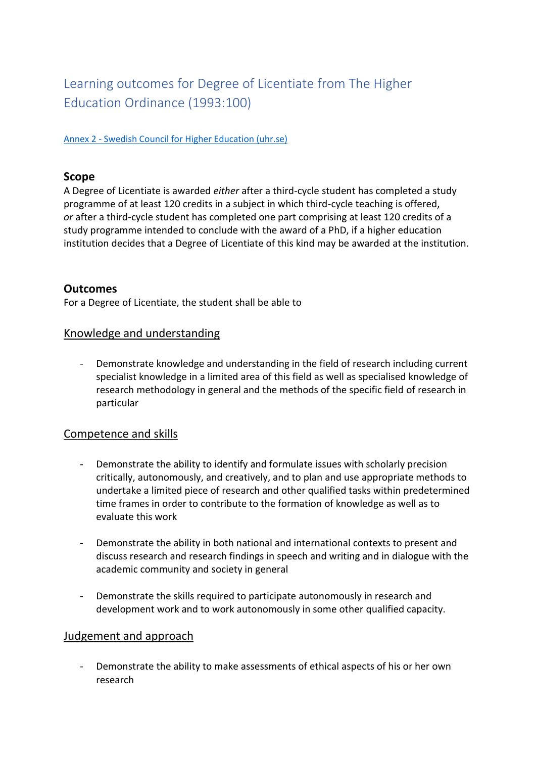# Learning outcomes for Degree of Licentiate from The Higher Education Ordinance (1993:100)

Annex 2 - [Swedish Council for Higher Education \(uhr.se\)](https://www.uhr.se/en/start/laws-and-regulations/Laws-and-regulations/The-Higher-Education-Ordinance/Annex-2/#Doctor)

#### **Scope**

A Degree of Licentiate is awarded *either* after a third-cycle student has completed a study programme of at least 120 credits in a subject in which third-cycle teaching is offered, *or* after a third-cycle student has completed one part comprising at least 120 credits of a study programme intended to conclude with the award of a PhD, if a higher education institution decides that a Degree of Licentiate of this kind may be awarded at the institution.

## **Outcomes**

For a Degree of Licentiate, the student shall be able to

#### Knowledge and understanding

- Demonstrate knowledge and understanding in the field of research including current specialist knowledge in a limited area of this field as well as specialised knowledge of research methodology in general and the methods of the specific field of research in particular

## Competence and skills

- Demonstrate the ability to identify and formulate issues with scholarly precision critically, autonomously, and creatively, and to plan and use appropriate methods to undertake a limited piece of research and other qualified tasks within predetermined time frames in order to contribute to the formation of knowledge as well as to evaluate this work
- Demonstrate the ability in both national and international contexts to present and discuss research and research findings in speech and writing and in dialogue with the academic community and society in general
- Demonstrate the skills required to participate autonomously in research and development work and to work autonomously in some other qualified capacity.

#### Judgement and approach

- Demonstrate the ability to make assessments of ethical aspects of his or her own research